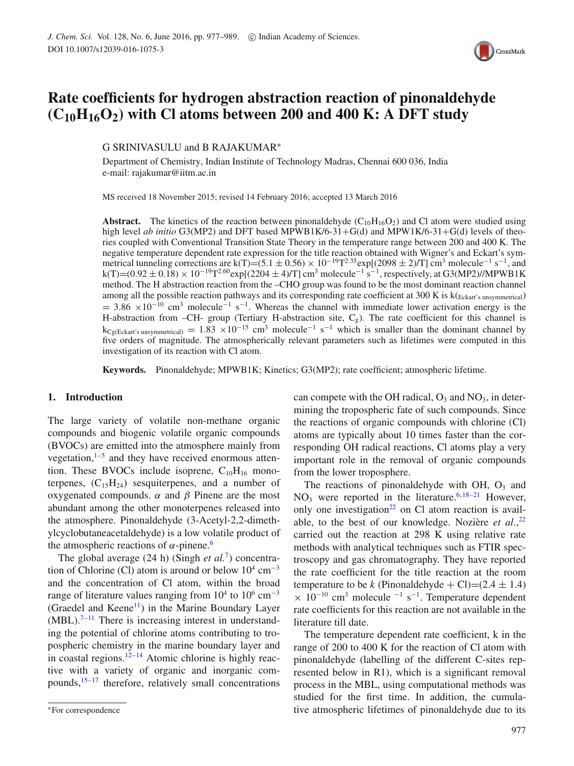

# **Rate coefficients for hydrogen abstraction reaction of pinonaldehyde (C10H16O2) with Cl atoms between 200 and 400 K: A DFT study**

G SRINIVASULU and B RAJAKUMAR∗

Department of Chemistry, Indian Institute of Technology Madras, Chennai 600 036, India e-mail: rajakumar@iitm.ac.in

MS received 18 November 2015; revised 14 February 2016; accepted 13 March 2016

**Abstract.** The kinetics of the reaction between pinonaldehyde  $(C_{10}H_{16}O_2)$  and Cl atom were studied using high level *ab initio* G3(MP2) and DFT based MPWB1K/6-31+G(d) and MPW1K/6-31+G(d) levels of theories coupled with Conventional Transition State Theory in the temperature range between 200 and 400 K. The negative temperature dependent rate expression for the title reaction obtained with Wigner's and Eckart's symmetrical tunneling corrections are k(T)=(5.1 ± 0.56) × 10<sup>-19</sup>T<sup>2.35</sup>exp[(2098 ± 2)/T] cm<sup>3</sup> molecule<sup>-1</sup> s<sup>-1</sup>, and  $k(T)=(0.92\pm0.18)\times10^{-19}T^{2.60}exp[(2204\pm4)/T]$  cm<sup>3</sup> molecule<sup>-1</sup> s<sup>-1</sup>, respectively, at G3(MP2)//MPWB1K method. The H abstraction reaction from the –CHO group was found to be the most dominant reaction channel among all the possible reaction pathways and its corresponding rate coefficient at 300 K is  $k(\text{Fekart's unsymmetric}]$  $= 3.86 \times 10^{-10}$  cm<sup>3</sup> molecule<sup>-1</sup> s<sup>-1</sup>. Whereas the channel with immediate lower activation energy is the H-abstraction from –CH- group (Tertiary H-abstraction site,  $C_g$ ). The rate coefficient for this channel is  $k_{Cg(Ekart's unsymmetrical)} = 1.83 \times 10^{-15}$  cm<sup>3</sup> molecule<sup>-1</sup> s<sup>-1</sup> which is smaller than the dominant channel by five orders of magnitude. The atmospherically relevant parameters such as lifetimes were computed in this investigation of its reaction with Cl atom.

**Keywords.** Pinonaldehyde; MPWB1K; Kinetics; G3(MP2); rate coefficient; atmospheric lifetime.

# **1. Introduction**

The large variety of volatile non-methane organic compounds and biogenic volatile organic compounds (BVOCs) are emitted into the atmosphere mainly from vegetation, $1-5$  and they have received enormous attention. These BVOCs include isoprene,  $C_{10}H_{16}$  monoterpenes,  $(C_{15}H_{24})$  sesquiterpenes, and a number of oxygenated compounds.  $\alpha$  and  $\beta$  Pinene are the most abundant among the other monoterpenes released into the atmosphere. Pinonaldehyde (3-Acetyl-2,2-dimethylcyclobutaneacetaldehyde) is a low volatile product of the atmospheric reactions of  $α$ -pinene.<sup>6</sup>

The global average (24 h) (Singh *et al.*7) concentration of Chlorine (Cl) atom is around or below  $10^4$  cm<sup>-3</sup> and the concentration of Cl atom, within the broad range of literature values ranging from  $10^4$  to  $10^6$  cm<sup>-3</sup> (Graedel and Keene<sup>11</sup>) in the Marine Boundary Layer  $(MBL)$ .<sup>7-11</sup> There is increasing interest in understanding the potential of chlorine atoms contributing to tropospheric chemistry in the marine boundary layer and in coastal regions.<sup>12–14</sup> Atomic chlorine is highly reactive with a variety of organic and inorganic compounds,15–17 therefore, relatively small concentrations can compete with the OH radical,  $O_3$  and  $NO_3$ , in determining the tropospheric fate of such compounds. Since the reactions of organic compounds with chlorine (Cl) atoms are typically about 10 times faster than the corresponding OH radical reactions, Cl atoms play a very important role in the removal of organic compounds from the lower troposphere.

The reactions of pinonaldehyde with OH,  $O<sub>3</sub>$  and  $NO<sub>3</sub>$  were reported in the literature.<sup>6,18–21</sup> However, only one investigation<sup>22</sup> on Cl atom reaction is available, to the best of our knowledge. Nozière *et al*.,22 carried out the reaction at 298 K using relative rate methods with analytical techniques such as FTIR spectroscopy and gas chromatography. They have reported the rate coefficient for the title reaction at the room temperature to be k (Pinonaldehyde + Cl)=(2.4  $\pm$  1.4)  $\times$  10<sup>-10</sup> cm<sup>3</sup> molecule <sup>-1</sup> s<sup>-1</sup>. Temperature dependent rate coefficients for this reaction are not available in the literature till date.

The temperature dependent rate coefficient, k in the range of 200 to 400 K for the reaction of Cl atom with pinonaldehyde (labelling of the different C-sites represented below in R1), which is a significant removal process in the MBL, using computational methods was studied for the first time. In addition, the cumulative atmospheric lifetimes of pinonaldehyde due to its

<sup>∗</sup>For correspondence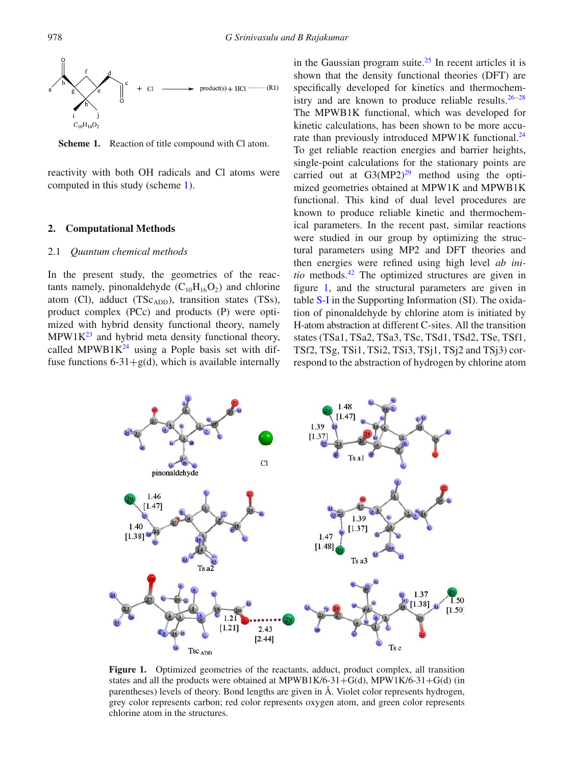

**Scheme 1.** Reaction of title compound with Cl atom.

reactivity with both OH radicals and Cl atoms were computed in this study (scheme 1).

### **2. Computational Methods**

### 2.1 *Quantum chemical methods*

In the present study, the geometries of the reactants namely, pinonaldehyde  $(C_{10}H_{16}O_2)$  and chlorine atom (Cl), adduct (T $Sc_{ADD}$ ), transition states (TSs), product complex (PCc) and products (P) were optimized with hybrid density functional theory, namely  $MPW1K<sup>23</sup>$  and hybrid meta density functional theory, called MPWB1 $K<sup>24</sup>$  using a Pople basis set with diffuse functions  $6-31+\mathcal{g}(d)$ , which is available internally in the Gaussian program suite.<sup>25</sup> In recent articles it is shown that the density functional theories (DFT) are specifically developed for kinetics and thermochemistry and are known to produce reliable results.<sup>26–28</sup> The MPWB1K functional, which was developed for kinetic calculations, has been shown to be more accurate than previously introduced MPW1K functional.<sup>24</sup> To get reliable reaction energies and barrier heights, single-point calculations for the stationary points are carried out at  $G3(MP2)^{29}$  method using the optimized geometries obtained at MPW1K and MPWB1K functional. This kind of dual level procedures are known to produce reliable kinetic and thermochemical parameters. In the recent past, similar reactions were studied in our group by optimizing the structural parameters using MP2 and DFT theories and then energies were refined using high level *ab initio* methods.<sup>42</sup> The optimized structures are given in figure 1, and the structural parameters are given in table S-I in the Supporting Information (SI). The oxidation of pinonaldehyde by chlorine atom is initiated by H-atom abstraction at different C-sites. All the transition states (TSa1, TSa2, TSa3, TSc, TSd1, TSd2, TSe, TSf1, TSf2, TSg, TSi1, TSi2, TSi3, TSj1, TSj2 and TSj3) correspond to the abstraction of hydrogen by chlorine atom



**Figure 1.** Optimized geometries of the reactants, adduct, product complex, all transition states and all the products were obtained at MPWB1K/6-31+G(d), MPW1K/6-31+G(d) (in parentheses) levels of theory. Bond lengths are given in Å. Violet color represents hydrogen, grey color represents carbon; red color represents oxygen atom, and green color represents chlorine atom in the structures.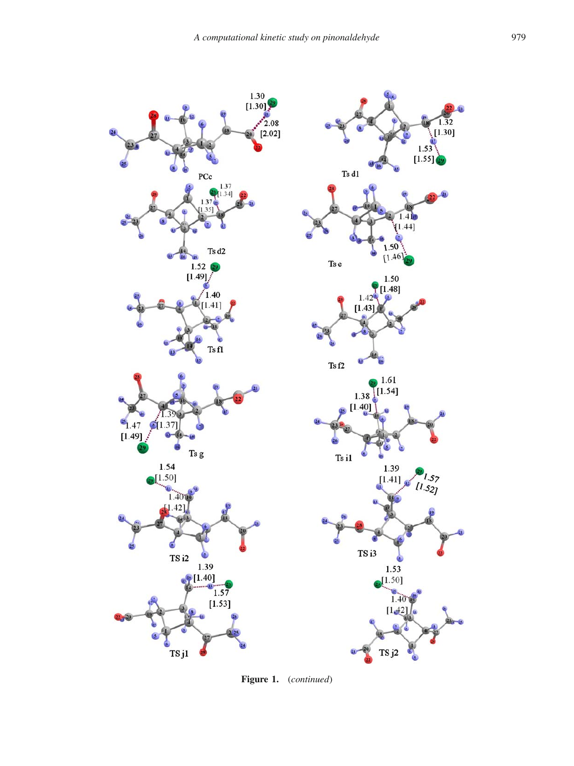

**Figure 1.** (*continued*)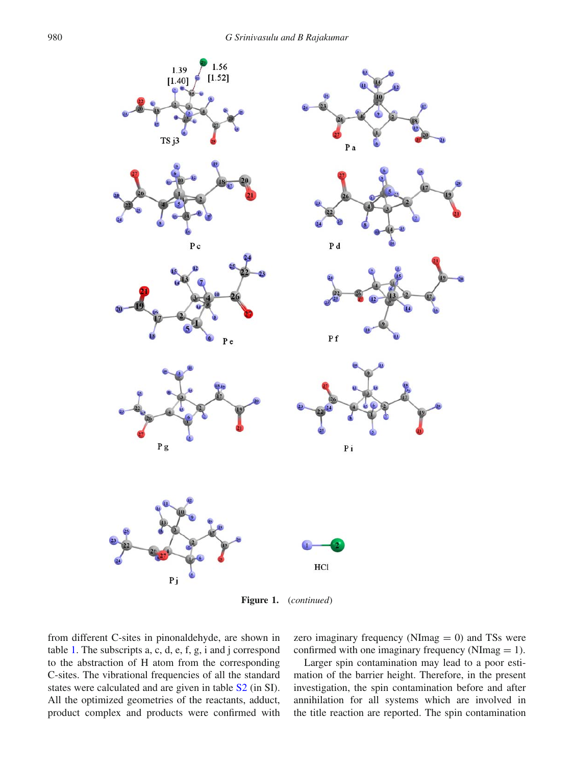

**Figure 1.** (*continued*)

from different C-sites in pinonaldehyde, are shown in table 1. The subscripts a, c, d, e, f, g, i and j correspond to the abstraction of H atom from the corresponding C-sites. The vibrational frequencies of all the standard states were calculated and are given in table S2 (in SI). All the optimized geometries of the reactants, adduct, product complex and products were confirmed with zero imaginary frequency (NImag  $= 0$ ) and TSs were confirmed with one imaginary frequency (NImag  $= 1$ ).

Larger spin contamination may lead to a poor estimation of the barrier height. Therefore, in the present investigation, the spin contamination before and after annihilation for all systems which are involved in the title reaction are reported. The spin contamination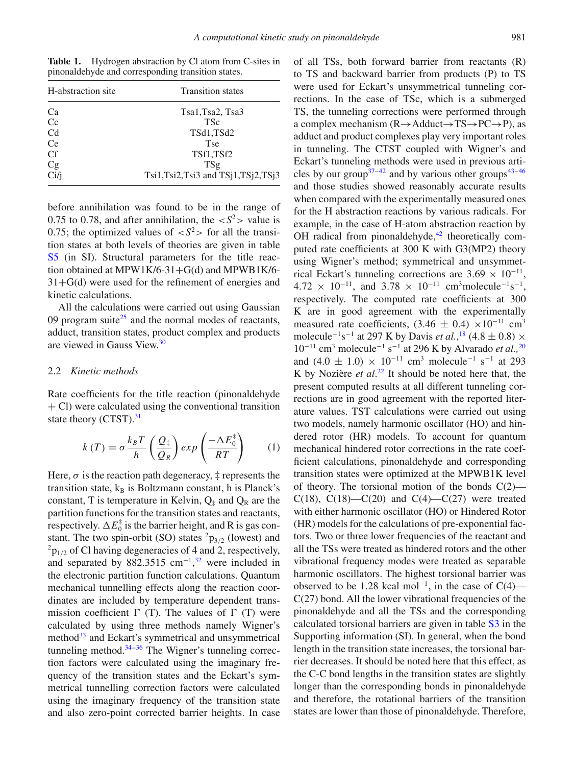Table 1. Hydrogen abstraction by Cl atom from C-sites in pinonaldehyde and corresponding transition states.

| H-abstraction site | <b>Transition states</b>              |
|--------------------|---------------------------------------|
| Ca                 | Tsa1, Tsa2, Tsa3                      |
| Cc                 | <b>TSc</b>                            |
| Cd                 | TSd1,TSd2                             |
| Ce                 | <b>Tse</b>                            |
| <b>Cf</b>          | TSf1,TSf2                             |
| Cg                 | TSg                                   |
| Ci/j               | $Tsi1,Tsi2,Tsi3$ and $TSi1,TSi2,TSi3$ |

before annihilation was found to be in the range of 0.75 to 0.78, and after annihilation, the  $\langle S^2 \rangle$  value is 0.75; the optimized values of  $\langle S^2 \rangle$  for all the transition states at both levels of theories are given in table S5 (in SI). Structural parameters for the title reaction obtained at MPW1K/6-31+G(d) and MPWB1K/6- $31+G(d)$  were used for the refinement of energies and kinetic calculations.

All the calculations were carried out using Gaussian 09 program suite<sup>25</sup> and the normal modes of reactants, adduct, transition states, product complex and products are viewed in Gauss View.<sup>30</sup>

# 2.2 *Kinetic methods*

Rate coefficients for the title reaction (pinonaldehyde  $+$  Cl) were calculated using the conventional transition state theory (CTST).<sup>31</sup>

$$
k(T) = \sigma \frac{k_B T}{h} \left(\frac{Q_{\ddagger}}{Q_R}\right) exp\left(\frac{-\Delta E_0^{\ddagger}}{RT}\right) \tag{1}
$$

Here,  $\sigma$  is the reaction path degeneracy,  $\ddagger$  represents the transition state,  $k_B$  is Boltzmann constant, h is Planck's constant, T is temperature in Kelvin,  $Q_{\pm}$  and  $Q_{R}$  are the partition functions for the transition states and reactants, respectively.  $\Delta E_0^{\ddagger}$  is the barrier height, and R is gas constant. The two spin-orbit (SO) states  ${}^{2}p_{3/2}$  (lowest) and  $^{2}P_{1/2}$  of Cl having degeneracies of 4 and 2, respectively, and separated by 882.3515 cm<sup>-1</sup>,<sup>32</sup> were included in the electronic partition function calculations. Quantum mechanical tunnelling effects along the reaction coordinates are included by temperature dependent transmission coefficient  $\Gamma$  (T). The values of  $\Gamma$  (T) were calculated by using three methods namely Wigner's method<sup>33</sup> and Eckart's symmetrical and unsymmetrical tunneling method. $34-36$  The Wigner's tunneling correction factors were calculated using the imaginary frequency of the transition states and the Eckart's symmetrical tunnelling correction factors were calculated using the imaginary frequency of the transition state and also zero-point corrected barrier heights. In case of all TSs, both forward barrier from reactants (R) to TS and backward barrier from products (P) to TS were used for Eckart's unsymmetrical tunneling corrections. In the case of TSc, which is a submerged TS, the tunneling corrections were performed through a complex mechanism  $(R \rightarrow Adduct \rightarrow TS \rightarrow PC \rightarrow P)$ , as adduct and product complexes play very important roles in tunneling. The CTST coupled with Wigner's and Eckart's tunneling methods were used in previous articles by our group<sup>37–42</sup> and by various other groups<sup>43–46</sup> and those studies showed reasonably accurate results when compared with the experimentally measured ones for the H abstraction reactions by various radicals. For example, in the case of H-atom abstraction reaction by OH radical from pinonaldehyde, $42$  theoretically computed rate coefficients at 300 K with G3(MP2) theory using Wigner's method; symmetrical and unsymmetrical Eckart's tunneling corrections are  $3.69 \times 10^{-11}$ , 4.72 × 10<sup>-11</sup>, and 3.78 × 10<sup>-11</sup> cm<sup>3</sup>molecule<sup>-1</sup>s<sup>-1</sup>, respectively. The computed rate coefficients at 300 K are in good agreement with the experimentally measured rate coefficients,  $(3.46 \pm 0.4) \times 10^{-11}$  cm<sup>3</sup> molecule<sup>-1</sup>s<sup>-1</sup> at 297 K by Davis *et al.*,<sup>18</sup> (4.8 ± 0.8)  $\times$ 10−<sup>11</sup> cm3 molecule−<sup>1</sup> s−<sup>1</sup> at 296 K by Alvarado *et al.,*<sup>20</sup> and  $(4.0 \pm 1.0) \times 10^{-11}$  cm<sup>3</sup> molecule<sup>-1</sup> s<sup>-1</sup> at 293 K by Nozière *et al*. <sup>22</sup> It should be noted here that, the present computed results at all different tunneling corrections are in good agreement with the reported literature values. TST calculations were carried out using two models, namely harmonic oscillator (HO) and hindered rotor (HR) models. To account for quantum mechanical hindered rotor corrections in the rate coefficient calculations, pinonaldehyde and corresponding transition states were optimized at the MPWB1K level of theory. The torsional motion of the bonds  $C(2)$ — C(18), C(18)—C(20) and C(4)—C(27) were treated with either harmonic oscillator (HO) or Hindered Rotor (HR) models for the calculations of pre-exponential factors. Two or three lower frequencies of the reactant and all the TSs were treated as hindered rotors and the other vibrational frequency modes were treated as separable harmonic oscillators. The highest torsional barrier was observed to be 1.28 kcal mol<sup>-1</sup>, in the case of  $C(4)$ —  $C(27)$  bond. All the lower vibrational frequencies of the pinonaldehyde and all the TSs and the corresponding calculated torsional barriers are given in table S3 in the Supporting information (SI). In general, when the bond length in the transition state increases, the torsional barrier decreases. It should be noted here that this effect, as the C-C bond lengths in the transition states are slightly longer than the corresponding bonds in pinonaldehyde and therefore, the rotational barriers of the transition states are lower than those of pinonaldehyde. Therefore,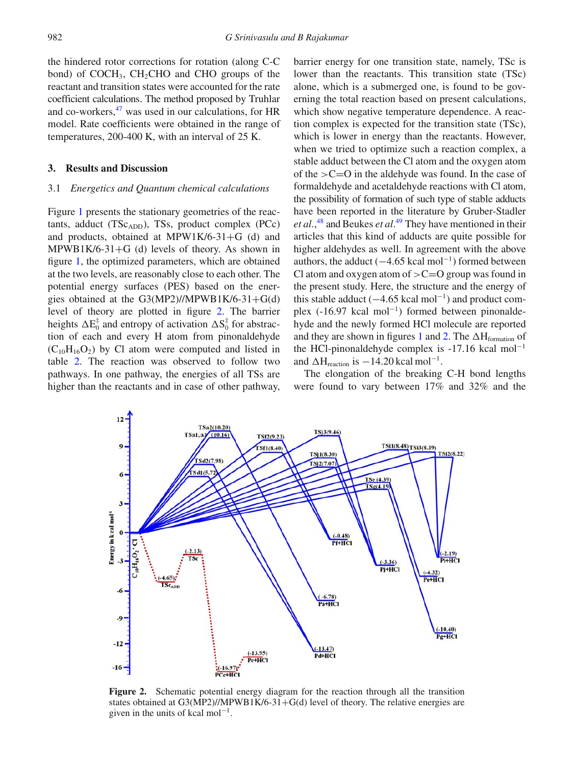the hindered rotor corrections for rotation (along C-C bond) of  $COCH<sub>3</sub>$ , CH<sub>2</sub>CHO and CHO groups of the reactant and transition states were accounted for the rate coefficient calculations. The method proposed by Truhlar and co-workers, $47$  was used in our calculations, for HR model. Rate coefficients were obtained in the range of temperatures, 200-400 K, with an interval of 25 K.

#### **3. Results and Discussion**

## 3.1 *Energetics and Quantum chemical calculations*

Figure 1 presents the stationary geometries of the reactants, adduct  $(TSc_{ADD})$ , TSs, product complex  $(PCc)$ and products, obtained at MPW1K/6-31+G (d) and  $MPWB1K/6-31+G$  (d) levels of theory. As shown in figure 1, the optimized parameters, which are obtained at the two levels, are reasonably close to each other. The potential energy surfaces (PES) based on the energies obtained at the G3(MP2)//MPWB1K/6-31+G(d) level of theory are plotted in figure 2. The barrier heights  $\Delta E_0^{\ddagger}$  and entropy of activation  $\Delta S_0^{\ddagger}$  for abstraction of each and every H atom from pinonaldehyde  $(C_{10}H_{16}O_2)$  by Cl atom were computed and listed in table 2. The reaction was observed to follow two pathways. In one pathway, the energies of all TSs are higher than the reactants and in case of other pathway,

barrier energy for one transition state, namely, TSc is lower than the reactants. This transition state (TSc) alone, which is a submerged one, is found to be governing the total reaction based on present calculations, which show negative temperature dependence. A reaction complex is expected for the transition state (TSc), which is lower in energy than the reactants. However, when we tried to optimize such a reaction complex, a stable adduct between the Cl atom and the oxygen atom of the  $>C=O$  in the aldehyde was found. In the case of formaldehyde and acetaldehyde reactions with Cl atom, the possibility of formation of such type of stable adducts have been reported in the literature by Gruber-Stadler et al.,<sup>48</sup> and Beukes et al.<sup>49</sup> They have mentioned in their articles that this kind of adducts are quite possible for higher aldehydes as well. In agreement with the above authors, the adduct  $(-4.65 \text{ kcal mol}^{-1})$  formed between Cl atom and oxygen atom of  $>C=O$  group was found in the present study. Here, the structure and the energy of this stable adduct  $(-4.65 \text{ kcal mol}^{-1})$  and product complex (-16.97 kcal mol<sup>-1</sup>) formed between pinonaldehyde and the newly formed HCl molecule are reported and they are shown in figures 1 and 2. The  $\Delta H_{formation}$  of the HCl-pinonaldehyde complex is  $-17.16$  kcal mol<sup>-1</sup> and  $\Delta H_{reaction}$  is  $-14.20$  kcal mol<sup>-1</sup>.

The elongation of the breaking C-H bond lengths were found to vary between 17% and 32% and the



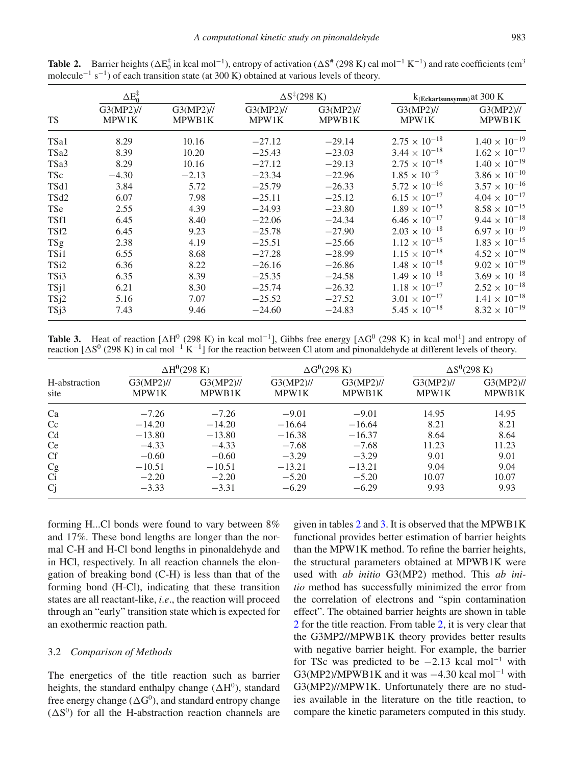|                  | $\Delta E_0^{\ddagger}$ |                        |                       | $\Delta S^{\ddagger}(298 \text{ K})$ | $k$ (Eckartsunsymm) at 300 K |                        |
|------------------|-------------------------|------------------------|-----------------------|--------------------------------------|------------------------------|------------------------|
| <b>TS</b>        | $G3(MP2)$ //<br>MPW1K   | $G3(MP2)$ //<br>MPWB1K | $G3(MP2)$ //<br>MPW1K | $G3(MP2)$ //<br>MPWB1K               | $G3(MP2)$ //<br>MPW1K        | $G3(MP2)$ //<br>MPWB1K |
| TSa1             | 8.29                    | 10.16                  | $-27.12$              | $-29.14$                             | $2.75 \times 10^{-18}$       | $1.40 \times 10^{-19}$ |
| TSa <sub>2</sub> | 8.39                    | 10.20                  | $-25.43$              | $-23.03$                             | $3.44 \times 10^{-18}$       | $1.62 \times 10^{-17}$ |
| TSa3             | 8.29                    | 10.16                  | $-27.12$              | $-29.13$                             | $2.75 \times 10^{-18}$       | $1.40 \times 10^{-19}$ |
| <b>TSc</b>       | $-4.30$                 | $-2.13$                | $-23.34$              | $-22.96$                             | $1.85 \times 10^{-9}$        | $3.86 \times 10^{-10}$ |
| TSd1             | 3.84                    | 5.72                   | $-25.79$              | $-26.33$                             | $5.72 \times 10^{-16}$       | $3.57 \times 10^{-16}$ |
| TSd <sub>2</sub> | 6.07                    | 7.98                   | $-25.11$              | $-25.12$                             | $6.15 \times 10^{-17}$       | $4.04 \times 10^{-17}$ |
| <b>TSe</b>       | 2.55                    | 4.39                   | $-24.93$              | $-23.80$                             | $1.89 \times 10^{-15}$       | $8.58 \times 10^{-15}$ |
| TSf1             | 6.45                    | 8.40                   | $-22.06$              | $-24.34$                             | $6.46 \times 10^{-17}$       | $9.44 \times 10^{-18}$ |
| TSf <sub>2</sub> | 6.45                    | 9.23                   | $-25.78$              | $-27.90$                             | $2.03 \times 10^{-18}$       | $6.97 \times 10^{-19}$ |
| <b>TSg</b>       | 2.38                    | 4.19                   | $-25.51$              | $-25.66$                             | $1.12 \times 10^{-15}$       | $1.83 \times 10^{-15}$ |
| TS <sub>i1</sub> | 6.55                    | 8.68                   | $-27.28$              | $-28.99$                             | $1.15 \times 10^{-18}$       | $4.52 \times 10^{-19}$ |
| TSi <sub>2</sub> | 6.36                    | 8.22                   | $-26.16$              | $-26.86$                             | $1.48 \times 10^{-18}$       | $9.02 \times 10^{-19}$ |
| TSi3             | 6.35                    | 8.39                   | $-25.35$              | $-24.58$                             | $1.49 \times 10^{-18}$       | $3.69 \times 10^{-18}$ |
| TSj1             | 6.21                    | 8.30                   | $-25.74$              | $-26.32$                             | $1.18 \times 10^{-17}$       | $2.52 \times 10^{-18}$ |
| TSj2             | 5.16                    | 7.07                   | $-25.52$              | $-27.52$                             | $3.01 \times 10^{-17}$       | $1.41 \times 10^{-18}$ |
| TSj3             | 7.43                    | 9.46                   | $-24.60$              | $-24.83$                             | $5.45 \times 10^{-18}$       | $8.32 \times 10^{-19}$ |

**Table 2.** Barrier heights ( $\Delta E_0^{\dagger}$  in kcal mol<sup>-1</sup>), entropy of activation ( $\Delta S^*$  (298 K) cal mol<sup>-1</sup> K<sup>-1</sup>) and rate coefficients (cm<sup>3</sup> molecule<sup> $-1$ </sup> s<sup> $-1$ </sup>) of each transition state (at 300 K) obtained at various levels of theory.

**Table 3.** Heat of reaction  $[\Delta H^0 (298 \text{ K})]$  in kcal mol<sup>-1</sup>], Gibbs free energy  $[\Delta G^0 (298 \text{ K})]$  in kcal mol<sup>1</sup>] and entropy of reaction  $[\Delta S^0$  (298 K) in cal mol<sup>-1</sup> K<sup>-1</sup>] for the reaction between Cl atom and pinonaldehyde at different levels of theory.

|                       | $\Delta H^0$ (298 K)  |                        |                         | $\Delta G^0$ (298 K) | $\Delta S^0$ (298 K)    |                        |
|-----------------------|-----------------------|------------------------|-------------------------|----------------------|-------------------------|------------------------|
| H-abstraction<br>site | $G3(MP2)$ //<br>MPW1K | $G3(MP2)$ //<br>MPWB1K | $G3(MP2)/\ell$<br>MPW1K | G3(MP2)//<br>MPWB1K  | $G3(MP2)/\ell$<br>MPW1K | $G3(MP2)$ //<br>MPWB1K |
| Ca                    | $-7.26$               | $-7.26$                | $-9.01$                 | $-9.01$              | 14.95                   | 14.95                  |
| Cc                    | $-14.20$              | $-14.20$               | $-16.64$                | $-16.64$             | 8.21                    | 8.21                   |
| C <sub>d</sub>        | $-13.80$              | $-13.80$               | $-16.38$                | $-16.37$             | 8.64                    | 8.64                   |
| <b>Ce</b>             | $-4.33$               | $-4.33$                | $-7.68$                 | $-7.68$              | 11.23                   | 11.23                  |
| <b>Cf</b>             | $-0.60$               | $-0.60$                | $-3.29$                 | $-3.29$              | 9.01                    | 9.01                   |
| Cg                    | $-10.51$              | $-10.51$               | $-13.21$                | $-13.21$             | 9.04                    | 9.04                   |
| Ci                    | $-2.20$               | $-2.20$                | $-5.20$                 | $-5.20$              | 10.07                   | 10.07                  |
| Cj                    | $-3.33$               | $-3.31$                | $-6.29$                 | $-6.29$              | 9.93                    | 9.93                   |

forming H...Cl bonds were found to vary between 8% and 17%. These bond lengths are longer than the normal C-H and H-Cl bond lengths in pinonaldehyde and in HCl, respectively. In all reaction channels the elongation of breaking bond (C-H) is less than that of the forming bond (H-Cl), indicating that these transition states are all reactant-like, *i*.*e*., the reaction will proceed through an "early" transition state which is expected for an exothermic reaction path.

# 3.2 *Comparison of Methods*

The energetics of the title reaction such as barrier heights, the standard enthalpy change  $(\Delta H^0)$ , standard free energy change ( $\Delta G^0$ ), and standard entropy change  $(\Delta S^0)$  for all the H-abstraction reaction channels are

given in tables 2 and 3. It is observed that the MPWB1K functional provides better estimation of barrier heights than the MPW1K method. To refine the barrier heights, the structural parameters obtained at MPWB1K were used with *ab initio* G3(MP2) method. This *ab initio* method has successfully minimized the error from the correlation of electrons and "spin contamination effect". The obtained barrier heights are shown in table 2 for the title reaction. From table 2, it is very clear that the G3MP2//MPWB1K theory provides better results with negative barrier height. For example, the barrier for TSc was predicted to be  $-2.13$  kcal mol<sup>-1</sup> with G3(MP2)/MPWB1K and it was  $-4.30$  kcal mol<sup>-1</sup> with G3(MP2)//MPW1K. Unfortunately there are no studies available in the literature on the title reaction, to compare the kinetic parameters computed in this study.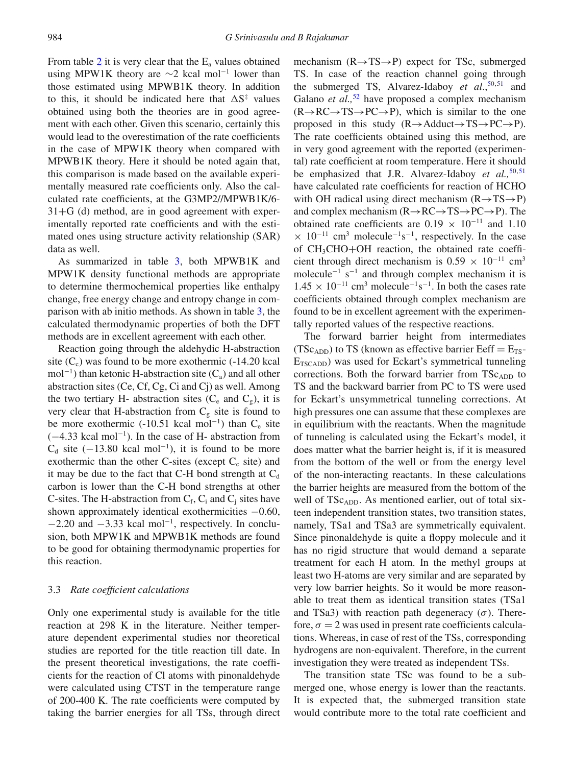From table 2 it is very clear that the  $E_a$  values obtained using MPW1K theory are  $\sim$ 2 kcal mol<sup>-1</sup> lower than those estimated using MPWB1K theory. In addition to this, it should be indicated here that  $\Delta S^{\ddagger}$  values obtained using both the theories are in good agreement with each other. Given this scenario, certainly this would lead to the overestimation of the rate coefficients in the case of MPW1K theory when compared with MPWB1K theory. Here it should be noted again that, this comparison is made based on the available experimentally measured rate coefficients only. Also the calculated rate coefficients, at the G3MP2//MPWB1K/6-  $31+G$  (d) method, are in good agreement with experimentally reported rate coefficients and with the estimated ones using structure activity relationship (SAR) data as well.

As summarized in table 3, both MPWB1K and MPW1K density functional methods are appropriate to determine thermochemical properties like enthalpy change, free energy change and entropy change in comparison with ab initio methods. As shown in table 3, the calculated thermodynamic properties of both the DFT methods are in excellent agreement with each other.

Reaction going through the aldehydic H-abstraction site  $(C_c)$  was found to be more exothermic  $(-14.20 \text{ kcal})$ mol<sup>-1</sup>) than ketonic H-abstraction site  $(C_a)$  and all other abstraction sites (Ce, Cf, Cg, Ci and Cj) as well. Among the two tertiary H- abstraction sites  $(C_e$  and  $C_g$ ), it is very clear that H-abstraction from  $C_g$  site is found to be more exothermic (-10.51 kcal mol<sup>-1</sup>) than  $C_e$  site (−4.33 kcal mol−1). In the case of H- abstraction from  $C_d$  site (−13.80 kcal mol<sup>-1</sup>), it is found to be more exothermic than the other C-sites (except  $C_c$  site) and it may be due to the fact that C-H bond strength at  $C_d$ carbon is lower than the C-H bond strengths at other C-sites. The H-abstraction from  $C_f$ ,  $C_i$  and  $C_i$  sites have shown approximately identical exothermicities −0.60,  $-2.20$  and  $-3.33$  kcal mol<sup>-1</sup>, respectively. In conclusion, both MPW1K and MPWB1K methods are found to be good for obtaining thermodynamic properties for this reaction.

### 3.3 *Rate coefficient calculations*

Only one experimental study is available for the title reaction at 298 K in the literature. Neither temperature dependent experimental studies nor theoretical studies are reported for the title reaction till date. In the present theoretical investigations, the rate coefficients for the reaction of Cl atoms with pinonaldehyde were calculated using CTST in the temperature range of 200-400 K. The rate coefficients were computed by taking the barrier energies for all TSs, through direct mechanism  $(R \rightarrow TS \rightarrow P)$  expect for TSc, submerged TS. In case of the reaction channel going through the submerged TS, Alvarez-Idaboy *et al.*,<sup>50,51</sup> and Galano *et al.*,<sup>52</sup> have proposed a complex mechanism  $(R \rightarrow RC \rightarrow TS \rightarrow PC \rightarrow P)$ , which is similar to the one proposed in this study  $(R \rightarrow Adduct \rightarrow TS \rightarrow PC \rightarrow P)$ . The rate coefficients obtained using this method, are in very good agreement with the reported (experimental) rate coefficient at room temperature. Here it should be emphasized that J.R. Alvarez-Idaboy *et al.*,<sup>50,51</sup> have calculated rate coefficients for reaction of HCHO with OH radical using direct mechanism  $(R \rightarrow TS \rightarrow P)$ and complex mechanism  $(R \rightarrow RC \rightarrow TS \rightarrow PC \rightarrow P)$ . The obtained rate coefficients are  $0.19 \times 10^{-11}$  and 1.10  $\times$  10<sup>-11</sup> cm<sup>3</sup> molecule<sup>-1</sup>s<sup>-1</sup>, respectively. In the case of CH3CHO+OH reaction, the obtained rate coefficient through direct mechanism is  $0.59 \times 10^{-11}$  cm<sup>3</sup> molecule<sup> $-1$ </sup> s<sup> $-1$ </sup> and through complex mechanism it is  $1.45 \times 10^{-11}$  cm<sup>3</sup> molecule<sup>-1</sup>s<sup>-1</sup>. In both the cases rate coefficients obtained through complex mechanism are found to be in excellent agreement with the experimentally reported values of the respective reactions.

The forward barrier height from intermediates (TSc<sub>ADD</sub>) to TS (known as effective barrier Eeff =  $E_{TS}$ - $E_{TSCADD}$ ) was used for Eckart's symmetrical tunneling corrections. Both the forward barrier from  $TSc<sub>ADD</sub>$  to TS and the backward barrier from PC to TS were used for Eckart's unsymmetrical tunneling corrections. At high pressures one can assume that these complexes are in equilibrium with the reactants. When the magnitude of tunneling is calculated using the Eckart's model, it does matter what the barrier height is, if it is measured from the bottom of the well or from the energy level of the non-interacting reactants. In these calculations the barrier heights are measured from the bottom of the well of TSc<sub>ADD</sub>. As mentioned earlier, out of total sixteen independent transition states, two transition states, namely, TSa1 and TSa3 are symmetrically equivalent. Since pinonaldehyde is quite a floppy molecule and it has no rigid structure that would demand a separate treatment for each H atom. In the methyl groups at least two H-atoms are very similar and are separated by very low barrier heights. So it would be more reasonable to treat them as identical transition states (TSa1 and TSa3) with reaction path degeneracy  $(\sigma)$ . Therefore,  $\sigma = 2$  was used in present rate coefficients calculations. Whereas, in case of rest of the TSs, corresponding hydrogens are non-equivalent. Therefore, in the current investigation they were treated as independent TSs.

The transition state TSc was found to be a submerged one, whose energy is lower than the reactants. It is expected that, the submerged transition state would contribute more to the total rate coefficient and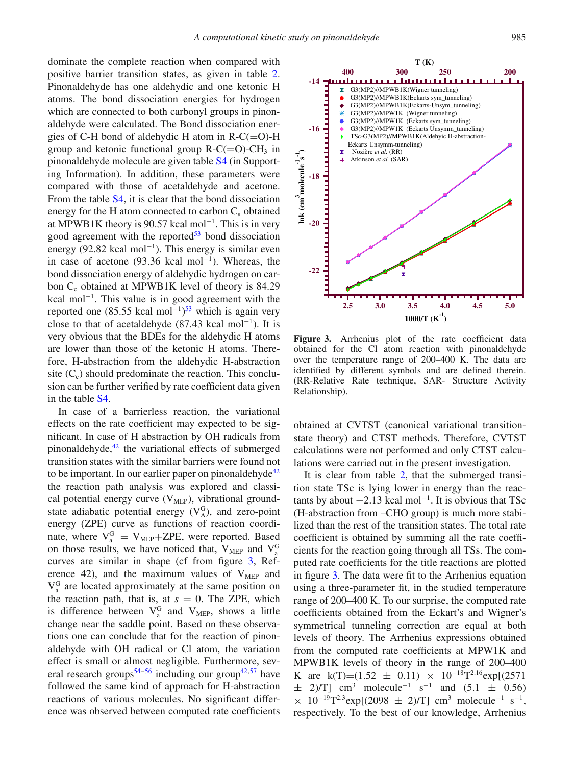dominate the complete reaction when compared with positive barrier transition states, as given in table 2. Pinonaldehyde has one aldehydic and one ketonic H atoms. The bond dissociation energies for hydrogen which are connected to both carbonyl groups in pinonaldehyde were calculated. The Bond dissociation energies of C-H bond of aldehydic H atom in  $R-C(=O)$ -H group and ketonic functional group  $R-C(=O)-CH_3$  in pinonaldehyde molecule are given table S4 (in Supporting Information). In addition, these parameters were compared with those of acetaldehyde and acetone. From the table S4, it is clear that the bond dissociation energy for the H atom connected to carbon  $C_a$  obtained at MPWB1K theory is 90.57 kcal mol−1. This is in very good agreement with the reported $53$  bond dissociation energy (92.82 kcal mol<sup>-1</sup>). This energy is similar even in case of acetone (93.36 kcal mol<sup>-1</sup>). Whereas, the bond dissociation energy of aldehydic hydrogen on carbon C<sub>c</sub> obtained at MPWB1K level of theory is 84.29 kcal mol<sup>-1</sup>. This value is in good agreement with the reported one (85.55 kcal mol<sup>-1</sup>)<sup>53</sup> which is again very close to that of acetaldehyde (87.43 kcal mol<sup>-1</sup>). It is very obvious that the BDEs for the aldehydic H atoms are lower than those of the ketonic H atoms. Therefore, H-abstraction from the aldehydic H-abstraction site  $(C_c)$  should predominate the reaction. This conclusion can be further verified by rate coefficient data given in the table S4.

In case of a barrierless reaction, the variational effects on the rate coefficient may expected to be significant. In case of H abstraction by OH radicals from pinonaldehyde, $42$  the variational effects of submerged transition states with the similar barriers were found not to be important. In our earlier paper on pinonaldehyde<sup>42</sup> the reaction path analysis was explored and classical potential energy curve  $(V<sub>MEP</sub>)$ , vibrational groundstate adiabatic potential energy  $(V_A^G)$ , and zero-point energy (ZPE) curve as functions of reaction coordinate, where  $V_a^G = V_{\text{MEP}} + \text{ZPE}$ , were reported. Based on those results, we have noticed that,  $V_{\text{MEP}}$  and  $V_a^G$ curves are similar in shape (cf from figure 3, Reference 42), and the maximum values of  $V_{\text{MEP}}$  and  $V_a^G$  are located approximately at the same position on the reaction path, that is, at  $s = 0$ . The ZPE, which is difference between  $V_a^G$  and  $V_{MEP}$ , shows a little change near the saddle point. Based on these observations one can conclude that for the reaction of pinonaldehyde with OH radical or Cl atom, the variation effect is small or almost negligible. Furthermore, several research groups<sup>54–56</sup> including our group<sup>42,57</sup> have followed the same kind of approach for H-abstraction reactions of various molecules. No significant difference was observed between computed rate coefficients



Figure 3. Arrhenius plot of the rate coefficient data obtained for the Cl atom reaction with pinonaldehyde over the temperature range of 200–400 K. The data are identified by different symbols and are defined therein. (RR-Relative Rate technique, SAR- Structure Activity Relationship).

obtained at CVTST (canonical variational transitionstate theory) and CTST methods. Therefore, CVTST calculations were not performed and only CTST calculations were carried out in the present investigation.

It is clear from table 2, that the submerged transition state TSc is lying lower in energy than the reactants by about  $-2.13$  kcal mol<sup>-1</sup>. It is obvious that TSc (H-abstraction from –CHO group) is much more stabilized than the rest of the transition states. The total rate coefficient is obtained by summing all the rate coefficients for the reaction going through all TSs. The computed rate coefficients for the title reactions are plotted in figure 3. The data were fit to the Arrhenius equation using a three-parameter fit, in the studied temperature range of 200–400 K. To our surprise, the computed rate coefficients obtained from the Eckart's and Wigner's symmetrical tunneling correction are equal at both levels of theory. The Arrhenius expressions obtained from the computed rate coefficients at MPW1K and MPWB1K levels of theory in the range of 200–400 K are k(T)=(1.52  $\pm$  0.11) × 10<sup>-18</sup>T<sup>2.16</sup>exp[(2571)  $\pm$  2)/T] cm<sup>3</sup> molecule<sup>-1</sup> s<sup>-1</sup> and (5.1  $\pm$  0.56)  $\times$  10<sup>-19</sup>T<sup>2.3</sup>exp[(2098 ± 2)/T] cm<sup>3</sup> molecule<sup>-1</sup> s<sup>-1</sup>, respectively. To the best of our knowledge, Arrhenius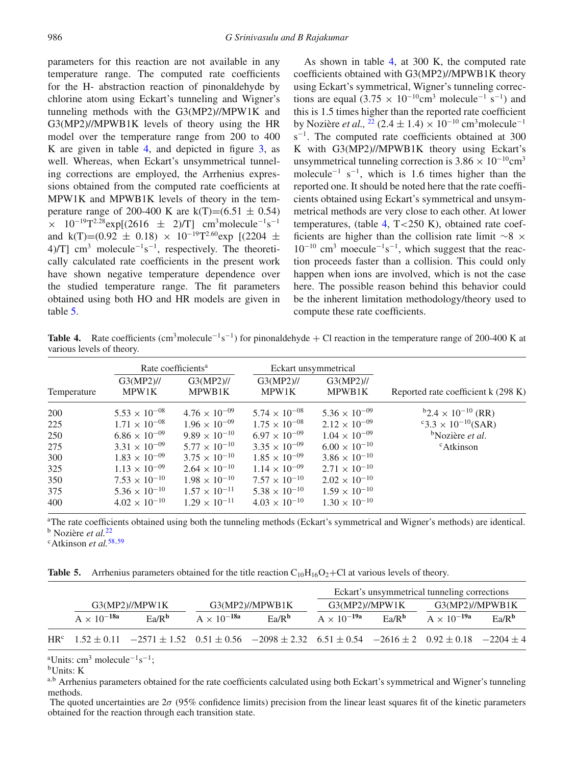parameters for this reaction are not available in any temperature range. The computed rate coefficients for the H- abstraction reaction of pinonaldehyde by chlorine atom using Eckart's tunneling and Wigner's tunneling methods with the G3(MP2)//MPW1K and G3(MP2)//MPWB1K levels of theory using the HR model over the temperature range from 200 to 400 K are given in table 4, and depicted in figure 3, as well. Whereas, when Eckart's unsymmetrical tunneling corrections are employed, the Arrhenius expressions obtained from the computed rate coefficients at MPW1K and MPWB1K levels of theory in the temperature range of 200-400 K are  $k(T)=(6.51 \pm 0.54)$  $\times$  10<sup>-19</sup>T<sup>2.28</sup>exp[(2616 ± 2)/T] cm<sup>3</sup>molecule<sup>-1</sup>s<sup>-1</sup> and k(T)=(0.92  $\pm$  0.18) × 10<sup>-19</sup>T<sup>2.60</sup>exp [(2204  $\pm$ 4)/T] cm<sup>3</sup> molecule<sup>-1</sup>s<sup>-1</sup>, respectively. The theoretically calculated rate coefficients in the present work have shown negative temperature dependence over the studied temperature range. The fit parameters obtained using both HO and HR models are given in table 5.

As shown in table 4, at 300 K, the computed rate coefficients obtained with G3(MP2)//MPWB1K theory using Eckart's symmetrical, Wigner's tunneling corrections are equal (3.75  $\times$  10<sup>-10</sup>cm<sup>3</sup> molecule<sup>-1</sup> s<sup>-1</sup>) and this is 1.5 times higher than the reported rate coefficient by Nozière *et al.*, <sup>22</sup> (2.4 ± 1.4) × 10<sup>-10</sup> cm<sup>3</sup>molecule<sup>-1</sup> s<sup>-1</sup>. The computed rate coefficients obtained at 300 K with G3(MP2)//MPWB1K theory using Eckart's unsymmetrical tunneling correction is  $3.86 \times 10^{-10}$ cm<sup>3</sup> molecule<sup> $-1$ </sup> s<sup> $-1$ </sup>, which is 1.6 times higher than the reported one. It should be noted here that the rate coefficients obtained using Eckart's symmetrical and unsymmetrical methods are very close to each other. At lower temperatures, (table 4,  $T < 250$  K), obtained rate coefficients are higher than the collision rate limit ∼8 ×  $10^{-10}$  cm<sup>3</sup> moecule<sup>-1</sup>s<sup>-1</sup>, which suggest that the reaction proceeds faster than a collision. This could only happen when ions are involved, which is not the case here. The possible reason behind this behavior could be the inherent limitation methodology/theory used to compute these rate coefficients.

**Table 4.** Rate coefficients  $(cm^3molecule^{-1} s^{-1})$  for pinonaldehyde + Cl reaction in the temperature range of 200-400 K at various levels of theory.

|             | Rate coefficients <sup>a</sup> |                        | Eckart unsymmetrical   |                        |                                     |  |
|-------------|--------------------------------|------------------------|------------------------|------------------------|-------------------------------------|--|
| Temperature | $G3(MP2)$ //<br>MPW1K          | G3(MP2)//<br>MPWB1K    | G3(MP2)//<br>MPW1K     | $G3(MP2)$ //<br>MPWB1K | Reported rate coefficient k (298 K) |  |
| 200         | $5.53 \times 10^{-08}$         | $4.76 \times 10^{-09}$ | $5.74 \times 10^{-08}$ | $5.36 \times 10^{-09}$ | $b2.4 \times 10^{-10}$ (RR)         |  |
| 225         | $1.71 \times 10^{-08}$         | $1.96 \times 10^{-09}$ | $1.75 \times 10^{-08}$ | $2.12 \times 10^{-09}$ | $\rm ^{c}3.3\times10^{-10}(SAR)$    |  |
| 250         | $6.86 \times 10^{-09}$         | $9.89 \times 10^{-10}$ | $6.97 \times 10^{-09}$ | $1.04 \times 10^{-09}$ | <sup>b</sup> Nozière et al.         |  |
| 275         | $3.31 \times 10^{-09}$         | $5.77 \times 10^{-10}$ | $3.35 \times 10^{-09}$ | $6.00 \times 10^{-10}$ | <sup>c</sup> Atkinson               |  |
| 300         | $1.83 \times 10^{-09}$         | $3.75 \times 10^{-10}$ | $1.85 \times 10^{-09}$ | $3.86 \times 10^{-10}$ |                                     |  |
| 325         | $1.13 \times 10^{-09}$         | $2.64 \times 10^{-10}$ | $1.14 \times 10^{-09}$ | $2.71 \times 10^{-10}$ |                                     |  |
| 350         | $7.53 \times 10^{-10}$         | $1.98 \times 10^{-10}$ | $7.57 \times 10^{-10}$ | $2.02 \times 10^{-10}$ |                                     |  |
| 375         | $5.36 \times 10^{-10}$         | $1.57 \times 10^{-11}$ | $5.38 \times 10^{-10}$ | $1.59 \times 10^{-10}$ |                                     |  |
| 400         | $4.02 \times 10^{-10}$         | $1.29 \times 10^{-11}$ | $4.03 \times 10^{-10}$ | $1.30 \times 10^{-10}$ |                                     |  |

<sup>a</sup>The rate coefficients obtained using both the tunneling methods (Eckart's symmetrical and Wigner's methods) are identical. <sup>b</sup> Nozière *et al.*<sup>22</sup>

c Atkinson *et al.*58,59

**Table 5.** Arrhenius parameters obtained for the title reaction  $C_{10}H_{16}O_2 + C_1$  at various levels of theory.

|                 |                      |                   |                      |                                                                                                                               |                      |           | Eckart's unsymmetrical tunneling corrections |                   |
|-----------------|----------------------|-------------------|----------------------|-------------------------------------------------------------------------------------------------------------------------------|----------------------|-----------|----------------------------------------------|-------------------|
|                 | G3(MP2)/MPW1K        |                   | G3(MP2)/M PWB1K      |                                                                                                                               | G3(MP2)/MPW1K        |           | G3(MP2)//MPWB1K                              |                   |
|                 | $A \times 10^{-18a}$ | Ea/R <sup>b</sup> | $A \times 10^{-18a}$ | $E_2/R^b$                                                                                                                     | $A \times 10^{-19a}$ | $E_2/R^b$ | $A \times 10^{-19a}$                         | Ea/R <sup>b</sup> |
| HR <sup>c</sup> |                      |                   |                      | $1.52 \pm 0.11$ $-2571 \pm 1.52$ $0.51 \pm 0.56$ $-2098 \pm 2.32$ $6.51 \pm 0.54$ $-2616 \pm 2$ $0.92 \pm 0.18$ $-2204 \pm 4$ |                      |           |                                              |                   |

 $\mathrm{a}^3$ Units: cm<sup>3</sup> molecule<sup>-1</sup>s<sup>-1</sup>;

bUnits: K

a,b Arrhenius parameters obtained for the rate coefficients calculated using both Eckart's symmetrical and Wigner's tunneling methods.

The quoted uncertainties are  $2\sigma$  (95% confidence limits) precision from the linear least squares fit of the kinetic parameters obtained for the reaction through each transition state.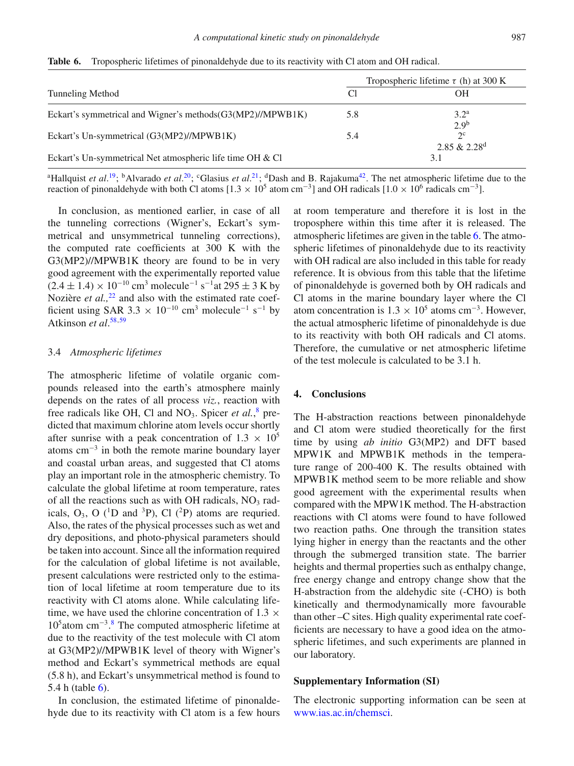|                                                              | Tropospheric lifetime $\tau$ (h) at 300 K |                                           |  |
|--------------------------------------------------------------|-------------------------------------------|-------------------------------------------|--|
| Tunneling Method                                             | C1                                        | OН                                        |  |
| Eckart's symmetrical and Wigner's methods $(G3(MP2)/MPWB1K)$ | 5.8                                       | $3.2^{\rm a}$<br>2.9 <sup>b</sup>         |  |
| Eckart's Un-symmetrical (G3(MP2)//MPWB1K)                    | 5.4                                       | $2^{\circ}$<br>2.85 & $2.28$ <sup>d</sup> |  |
| Eckart's Un-symmetrical Net atmospheric life time OH & Cl    |                                           |                                           |  |

**Table 6.** Tropospheric lifetimes of pinonaldehyde due to its reactivity with Cl atom and OH radical.

<sup>a</sup>Hallquist *et al.*<sup>19</sup>; <sup>b</sup>Alvarado *et al.*<sup>20</sup>; <sup>c</sup>Glasius *et al.*<sup>21</sup>; <sup>d</sup>Dash and B. Rajakuma<sup>42</sup>. The net atmospheric lifetime due to the reaction of pinonaldehyde with both Cl atoms  $[1.3 \times 10^5 \text{ atom cm}^{-3}]$  and OH radicals  $[1.0 \times 10^6 \text{ radicals cm}^{-3}]$ .

In conclusion, as mentioned earlier, in case of all the tunneling corrections (Wigner's, Eckart's symmetrical and unsymmetrical tunneling corrections), the computed rate coefficients at 300 K with the G3(MP2)//MPWB1K theory are found to be in very good agreement with the experimentally reported value  $(2.4 \pm 1.4) \times 10^{-10}$  cm<sup>3</sup> molecule<sup>-1</sup> s<sup>-1</sup>at 295 ± 3 K by Nozière *et al.*<sup>22</sup> and also with the estimated rate coefficient using SAR 3.3  $\times$  10<sup>-10</sup> cm<sup>3</sup> molecule<sup>-1</sup> s<sup>-1</sup> by Atkinson *et al*. 58,59

# 3.4 *Atmospheric lifetimes*

The atmospheric lifetime of volatile organic compounds released into the earth's atmosphere mainly depends on the rates of all process *viz.*, reaction with free radicals like OH, Cl and NO<sub>3</sub>. Spicer *et al.*,<sup>8</sup> predicted that maximum chlorine atom levels occur shortly after sunrise with a peak concentration of  $1.3 \times 10^5$ atoms cm−<sup>3</sup> in both the remote marine boundary layer and coastal urban areas, and suggested that Cl atoms play an important role in the atmospheric chemistry. To calculate the global lifetime at room temperature, rates of all the reactions such as with OH radicals,  $NO<sub>3</sub>$  radicals,  $O_3$ , O (<sup>1</sup>D and <sup>3</sup>P), Cl (<sup>2</sup>P) atoms are requried. Also, the rates of the physical processes such as wet and dry depositions, and photo-physical parameters should be taken into account. Since all the information required for the calculation of global lifetime is not available, present calculations were restricted only to the estimation of local lifetime at room temperature due to its reactivity with Cl atoms alone. While calculating lifetime, we have used the chlorine concentration of  $1.3 \times$ 105atom cm−3. <sup>8</sup> The computed atmospheric lifetime at due to the reactivity of the test molecule with Cl atom at G3(MP2)//MPWB1K level of theory with Wigner's method and Eckart's symmetrical methods are equal (5.8 h), and Eckart's unsymmetrical method is found to 5.4 h (table  $6$ ).

In conclusion, the estimated lifetime of pinonaldehyde due to its reactivity with Cl atom is a few hours

at room temperature and therefore it is lost in the troposphere within this time after it is released. The atmospheric lifetimes are given in the table 6. The atmospheric lifetimes of pinonaldehyde due to its reactivity with OH radical are also included in this table for ready reference. It is obvious from this table that the lifetime of pinonaldehyde is governed both by OH radicals and Cl atoms in the marine boundary layer where the Cl atom concentration is  $1.3 \times 10^5$  atoms cm<sup>-3</sup>. However, the actual atmospheric lifetime of pinonaldehyde is due to its reactivity with both OH radicals and Cl atoms. Therefore, the cumulative or net atmospheric lifetime of the test molecule is calculated to be 3.1 h.

# **4. Conclusions**

The H-abstraction reactions between pinonaldehyde and Cl atom were studied theoretically for the first time by using *ab initio* G3(MP2) and DFT based MPW1K and MPWB1K methods in the temperature range of 200-400 K. The results obtained with MPWB1K method seem to be more reliable and show good agreement with the experimental results when compared with the MPW1K method. The H-abstraction reactions with Cl atoms were found to have followed two reaction paths. One through the transition states lying higher in energy than the reactants and the other through the submerged transition state. The barrier heights and thermal properties such as enthalpy change, free energy change and entropy change show that the H-abstraction from the aldehydic site (-CHO) is both kinetically and thermodynamically more favourable than other –C sites. High quality experimental rate coefficients are necessary to have a good idea on the atmospheric lifetimes, and such experiments are planned in our laboratory.

#### **Supplementary Information (SI)**

The electronic supporting information can be seen at www.ias.ac.in/chemsci.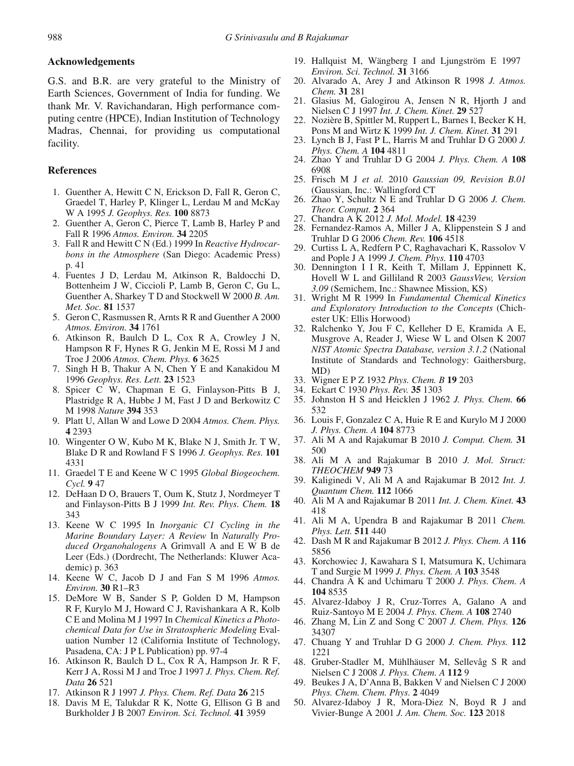## **Acknowledgements**

G.S. and B.R. are very grateful to the Ministry of Earth Sciences, Government of India for funding. We thank Mr. V. Ravichandaran, High performance computing centre (HPCE), Indian Institution of Technology Madras, Chennai, for providing us computational facility.

### **References**

- 1. Guenther A, Hewitt C N, Erickson D, Fall R, Geron C, Graedel T, Harley P, Klinger L, Lerdau M and McKay W A 1995 *J. Geophys. Res.* **100** 8873
- 2. Guenther A, Geron C, Pierce T, Lamb B, Harley P and Fall R 1996 *Atmos. Environ.* **34** 2205
- 3. Fall R and Hewitt C N (Ed.) 1999 In *Reactive Hydrocarbons in the Atmosphere* (San Diego: Academic Press) p. 41
- 4. Fuentes J D, Lerdau M, Atkinson R, Baldocchi D, Bottenheim J W, Ciccioli P, Lamb B, Geron C, Gu L, Guenther A, Sharkey T D and Stockwell W 2000 *B. Am. Met. Soc.* **81** 1537
- 5. Geron C, Rasmussen R, Arnts R R and Guenther A 2000 *Atmos. Environ.* **34** 1761
- 6. Atkinson R, Baulch D L, Cox R A, Crowley J N, Hampson R F, Hynes R G, Jenkin M E, Rossi M J and Troe J 2006 *Atmos. Chem. Phys.* **6** 3625
- 7. Singh H B, Thakur A N, Chen Y E and Kanakidou M 1996 *Geophys. Res. Lett.* **23** 1523
- 8. Spicer C W, Chapman E G, Finlayson-Pitts B J, Plastridge R A, Hubbe J M, Fast J D and Berkowitz C M 1998 *Nature* **394** 353
- 9. Platt U, Allan W and Lowe D 2004 *Atmos. Chem. Phys.* **4** 2393
- 10. Wingenter O W, Kubo M K, Blake N J, Smith Jr. T W, Blake D R and Rowland F S 1996 *J. Geophys. Res.* **101** 4331
- 11. Graedel T E and Keene W C 1995 *Global Biogeochem. Cycl.* **9** 47
- 12. DeHaan D O, Brauers T, Oum K, Stutz J, Nordmeyer T and Finlayson-Pitts B J 1999 *Int. Rev. Phys. Chem.* **18** 343
- 13. Keene W C 1995 In *Inorganic C1 Cycling in the Marine Boundary Layer: A Review* In *Naturally Produced Organohalogens* A Grimvall A and E W B de Leer (Eds.) (Dordrecht, The Netherlands: Kluwer Academic) p. 363
- 14. Keene W C, Jacob D J and Fan S M 1996 *Atmos. Environ.* **30** R1–R3
- 15. DeMore W B, Sander S P, Golden D M, Hampson R F, Kurylo M J, Howard C J, Ravishankara A R, Kolb C E and Molina M J 1997 In *Chemical Kinetics a Photochemical Data for Use in Stratospheric Modeling* Evaluation Number 12 (California Institute of Technology, Pasadena, CA: J P L Publication) pp. 97-4
- 16. Atkinson R, Baulch D L, Cox R A, Hampson Jr. R F, Kerr J A, Rossi M J and Troe J 1997 *J. Phys. Chem. Ref. Data* **26** 521
- 17. Atkinson R J 1997 *J. Phys. Chem. Ref. Data* **26** 215
- 18. Davis M E, Talukdar R K, Notte G, Ellison G B and Burkholder J B 2007 *Environ. Sci. Technol.* **41** 3959
- 19. Hallquist M, Wängberg I and Ljungström E 1997 *Environ. Sci. Technol.* **31** 3166
- 20. Alvarado A, Arey J and Atkinson R 1998 *J. Atmos. Chem.* **31** 281
- 21. Glasius M, Galogirou A, Jensen N R, Hjorth J and Nielsen C J 1997 *Int. J. Chem. Kinet.* **29** 527
- 22. Nozière B, Spittler M, Ruppert L, Barnes I, Becker K H, Pons M and Wirtz K 1999 *Int. J. Chem. Kinet.* **31** 291
- 23. Lynch B J, Fast P L, Harris M and Truhlar D G 2000 *J. Phys. Chem. A* **104** 4811
- 24. Zhao Y and Truhlar D G 2004 *J. Phys. Chem. A* **108** 6908
- 25. Frisch M J *et al.* 2010 *Gaussian 09, Revision B.01* (Gaussian, Inc.: Wallingford CT
- 26. Zhao Y, Schultz N E and Truhlar D G 2006 *J. Chem. Theor. Comput.* **2** 364
- 27. Chandra A K 2012 *J. Mol. Model.* **18** 4239
- 28. Fernandez-Ramos A, Miller J A, Klippenstein S J and Truhlar D G 2006 *Chem. Rev.* **106** 4518
- 29. Curtiss L A, Redfern P C, Raghavachari K, Rassolov V and Pople J A 1999 *J. Chem. Phys.* **110** 4703
- 30. Dennington I I R, Keith T, Millam J, Eppinnett K, Hovell W L and Gilliland R 2003 *GaussView, Version 3.09* (Semichem, Inc.: Shawnee Mission, KS)
- 31. Wright M R 1999 In *Fundamental Chemical Kinetics and Exploratory Introduction to the Concepts* (Chichester UK: Ellis Horwood)
- 32. Ralchenko Y, Jou F C, Kelleher D E, Kramida A E, Musgrove A, Reader J, Wiese W L and Olsen K 2007 *NIST Atomic Spectra Database, version 3.1.2* (National Institute of Standards and Technology: Gaithersburg, MD)
- 33. Wigner E P Z 1932 *Phys. Chem. B* **19** 203
- 34. Eckart C 1930 *Phys. Rev.* **35** 1303
- 35. Johnston H S and Heicklen J 1962 *J. Phys. Chem.* **66** 532
- 36. Louis F, Gonzalez C A, Huie R E and Kurylo M J 2000 *J. Phys. Chem. A* **104** 8773
- 37. Ali M A and Rajakumar B 2010 *J. Comput. Chem.* **31** 500
- 38. Ali M A and Rajakumar B 2010 *J. Mol. Struct: THEOCHEM* **949** 73
- 39. Kaliginedi V, Ali M A and Rajakumar B 2012 *Int. J. Quantum Chem.* **112** 1066
- 40. Ali M A and Rajakumar B 2011 *Int. J. Chem. Kinet.* **43** 418
- 41. Ali M A, Upendra B and Rajakumar B 2011 *Chem. Phys. Lett.* **511** 440
- 42. Dash M R and Rajakumar B 2012 *J. Phys. Chem. A* **116** 5856
- 43. Korchowiec J, Kawahara S I, Matsumura K, Uchimara T and Surgie M 1999 *J. Phys. Chem. A* **103** 3548
- 44. Chandra A K and Uchimaru T 2000 *J. Phys. Chem. A* **104** 8535
- 45. Alvarez-Idaboy J R, Cruz-Torres A, Galano A and Ruiz-Santoyo M E 2004 *J. Phys. Chem. A* **108** 2740
- 46. Zhang M, Lin Z and Song C 2007 *J. Chem. Phys.* **126** 34307
- 47. Chuang Y and Truhlar D G 2000 *J. Chem. Phys.* **112** 1221
- 48. Gruber-Stadler M, Mühlhäuser M, Sellevåg S R and Nielsen C J 2008 *J. Phys. Chem. A* **112** 9
- 49. Beukes J A, D'Anna B, Bakken V and Nielsen C J 2000 *Phys. Chem. Chem. Phys.* **2** 4049
- 50. Alvarez-Idaboy J R, Mora-Diez N, Boyd R J and Vivier-Bunge A 2001 *J. Am. Chem. Soc.* **123** 2018